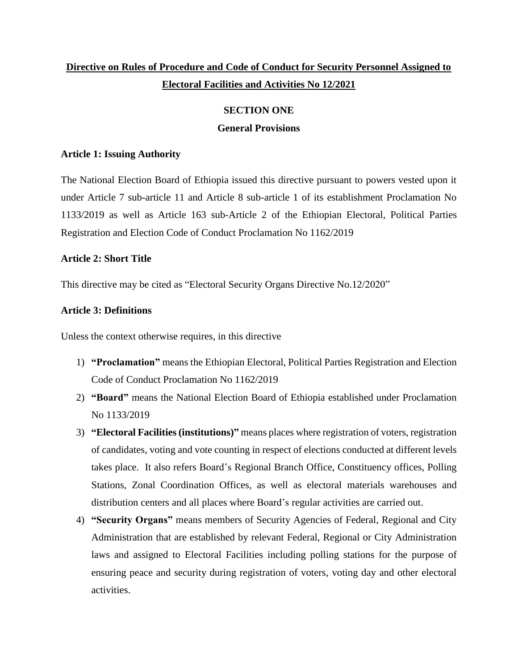# **Directive on Rules of Procedure and Code of Conduct for Security Personnel Assigned to Electoral Facilities and Activities No 12/2021**

## **SECTION ONE**

## **General Provisions**

## **Article 1: Issuing Authority**

The National Election Board of Ethiopia issued this directive pursuant to powers vested upon it under Article 7 sub-article 11 and Article 8 sub-article 1 of its establishment Proclamation No 1133/2019 as well as Article 163 sub-Article 2 of the Ethiopian Electoral, Political Parties Registration and Election Code of Conduct Proclamation No 1162/2019

## **Article 2: Short Title**

This directive may be cited as "Electoral Security Organs Directive No.12/2020"

## **Article 3: Definitions**

Unless the context otherwise requires, in this directive

- 1) **"Proclamation"** means the Ethiopian Electoral, Political Parties Registration and Election Code of Conduct Proclamation No 1162/2019
- 2) **"Board"** means the National Election Board of Ethiopia established under Proclamation No 1133/2019
- 3) **"Electoral Facilities (institutions)"** means places where registration of voters, registration of candidates, voting and vote counting in respect of elections conducted at different levels takes place. It also refers Board's Regional Branch Office, Constituency offices, Polling Stations, Zonal Coordination Offices, as well as electoral materials warehouses and distribution centers and all places where Board's regular activities are carried out.
- 4) **"Security Organs"** means members of Security Agencies of Federal, Regional and City Administration that are established by relevant Federal, Regional or City Administration laws and assigned to Electoral Facilities including polling stations for the purpose of ensuring peace and security during registration of voters, voting day and other electoral activities.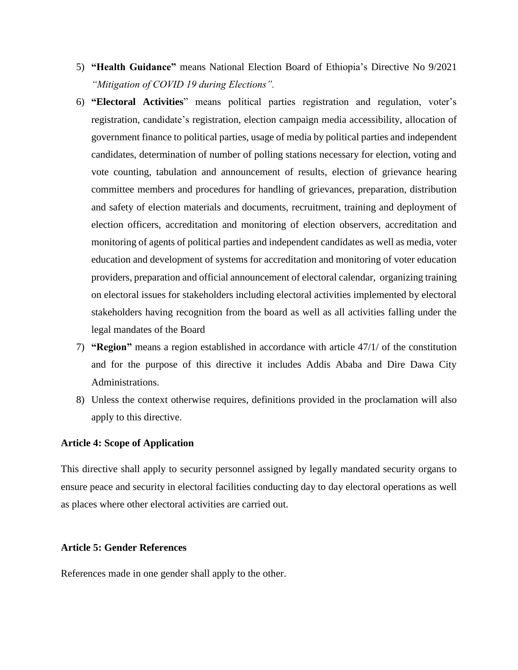- 5) **"Health Guidance"** means National Election Board of Ethiopia's Directive No 9/2021 *"Mitigation of COVID 19 during Elections".*
- 6) **"Electoral Activities**" means political parties registration and regulation, voter's registration, candidate's registration, election campaign media accessibility, allocation of government finance to political parties, usage of media by political parties and independent candidates, determination of number of polling stations necessary for election, voting and vote counting, tabulation and announcement of results, election of grievance hearing committee members and procedures for handling of grievances, preparation, distribution and safety of election materials and documents, recruitment, training and deployment of election officers, accreditation and monitoring of election observers, accreditation and monitoring of agents of political parties and independent candidates as well as media, voter education and development of systems for accreditation and monitoring of voter education providers, preparation and official announcement of electoral calendar, organizing training on electoral issues for stakeholders including electoral activities implemented by electoral stakeholders having recognition from the board as well as all activities falling under the legal mandates of the Board
- 7) **"Region"** means a region established in accordance with article 47/1/ of the constitution and for the purpose of this directive it includes Addis Ababa and Dire Dawa City Administrations.
- 8) Unless the context otherwise requires, definitions provided in the proclamation will also apply to this directive.

### **Article 4: Scope of Application**

This directive shall apply to security personnel assigned by legally mandated security organs to ensure peace and security in electoral facilities conducting day to day electoral operations as well as places where other electoral activities are carried out.

### **Article 5: Gender References**

References made in one gender shall apply to the other.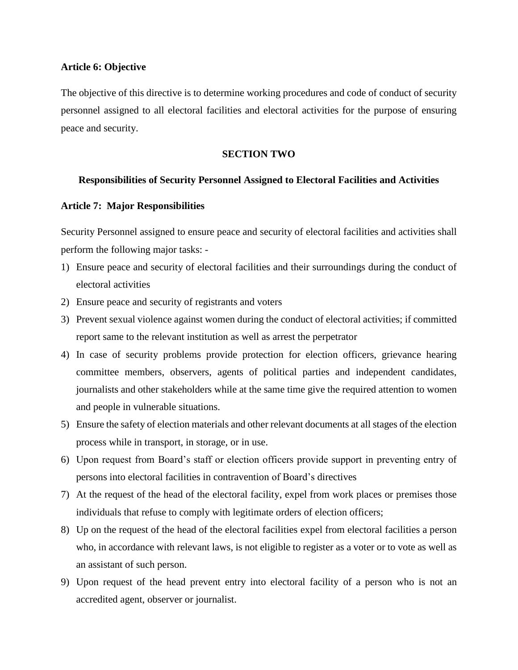### **Article 6: Objective**

The objective of this directive is to determine working procedures and code of conduct of security personnel assigned to all electoral facilities and electoral activities for the purpose of ensuring peace and security.

### **SECTION TWO**

### **Responsibilities of Security Personnel Assigned to Electoral Facilities and Activities**

### **Article 7: Major Responsibilities**

Security Personnel assigned to ensure peace and security of electoral facilities and activities shall perform the following major tasks: -

- 1) Ensure peace and security of electoral facilities and their surroundings during the conduct of electoral activities
- 2) Ensure peace and security of registrants and voters
- 3) Prevent sexual violence against women during the conduct of electoral activities; if committed report same to the relevant institution as well as arrest the perpetrator
- 4) In case of security problems provide protection for election officers, grievance hearing committee members, observers, agents of political parties and independent candidates, journalists and other stakeholders while at the same time give the required attention to women and people in vulnerable situations.
- 5) Ensure the safety of election materials and other relevant documents at all stages of the election process while in transport, in storage, or in use.
- 6) Upon request from Board's staff or election officers provide support in preventing entry of persons into electoral facilities in contravention of Board's directives
- 7) At the request of the head of the electoral facility, expel from work places or premises those individuals that refuse to comply with legitimate orders of election officers;
- 8) Up on the request of the head of the electoral facilities expel from electoral facilities a person who, in accordance with relevant laws, is not eligible to register as a voter or to vote as well as an assistant of such person.
- 9) Upon request of the head prevent entry into electoral facility of a person who is not an accredited agent, observer or journalist.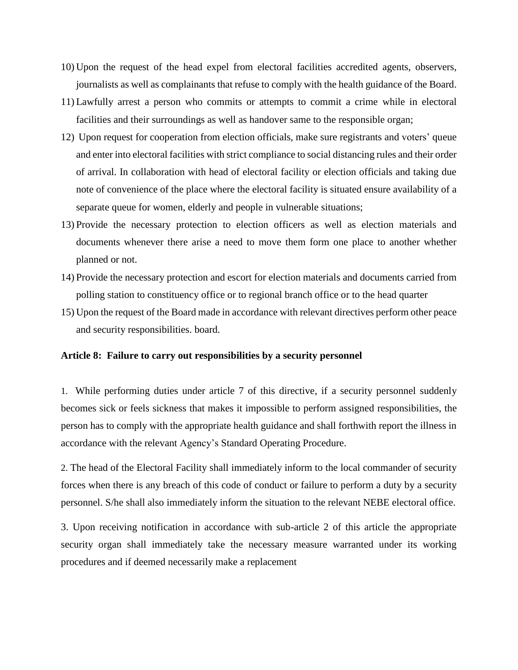- 10) Upon the request of the head expel from electoral facilities accredited agents, observers, journalists as well as complainants that refuse to comply with the health guidance of the Board.
- 11) Lawfully arrest a person who commits or attempts to commit a crime while in electoral facilities and their surroundings as well as handover same to the responsible organ;
- 12) Upon request for cooperation from election officials, make sure registrants and voters' queue and enter into electoral facilities with strict compliance to social distancing rules and their order of arrival. In collaboration with head of electoral facility or election officials and taking due note of convenience of the place where the electoral facility is situated ensure availability of a separate queue for women, elderly and people in vulnerable situations;
- 13) Provide the necessary protection to election officers as well as election materials and documents whenever there arise a need to move them form one place to another whether planned or not.
- 14) Provide the necessary protection and escort for election materials and documents carried from polling station to constituency office or to regional branch office or to the head quarter
- 15) Upon the request of the Board made in accordance with relevant directives perform other peace and security responsibilities. board.

#### **Article 8: Failure to carry out responsibilities by a security personnel**

1. While performing duties under article 7 of this directive, if a security personnel suddenly becomes sick or feels sickness that makes it impossible to perform assigned responsibilities, the person has to comply with the appropriate health guidance and shall forthwith report the illness in accordance with the relevant Agency's Standard Operating Procedure.

2. The head of the Electoral Facility shall immediately inform to the local commander of security forces when there is any breach of this code of conduct or failure to perform a duty by a security personnel. S/he shall also immediately inform the situation to the relevant NEBE electoral office.

3. Upon receiving notification in accordance with sub-article 2 of this article the appropriate security organ shall immediately take the necessary measure warranted under its working procedures and if deemed necessarily make a replacement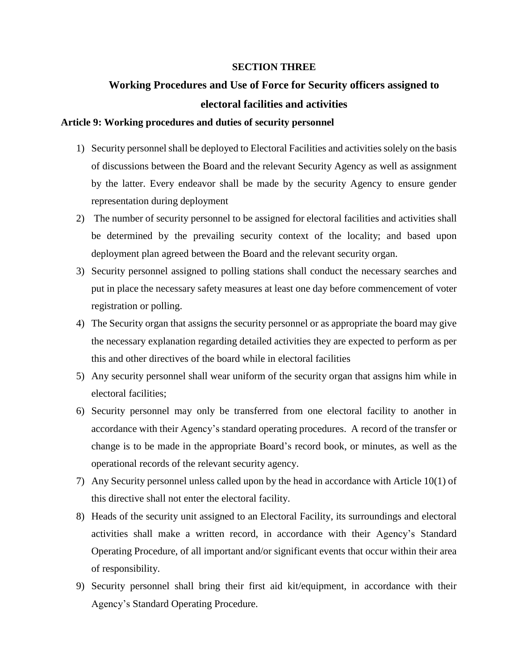### **SECTION THREE**

# **Working Procedures and Use of Force for Security officers assigned to electoral facilities and activities**

#### **Article 9: Working procedures and duties of security personnel**

- 1) Security personnel shall be deployed to Electoral Facilities and activities solely on the basis of discussions between the Board and the relevant Security Agency as well as assignment by the latter. Every endeavor shall be made by the security Agency to ensure gender representation during deployment
- 2) The number of security personnel to be assigned for electoral facilities and activities shall be determined by the prevailing security context of the locality; and based upon deployment plan agreed between the Board and the relevant security organ.
- 3) Security personnel assigned to polling stations shall conduct the necessary searches and put in place the necessary safety measures at least one day before commencement of voter registration or polling.
- 4) The Security organ that assigns the security personnel or as appropriate the board may give the necessary explanation regarding detailed activities they are expected to perform as per this and other directives of the board while in electoral facilities
- 5) Any security personnel shall wear uniform of the security organ that assigns him while in electoral facilities;
- 6) Security personnel may only be transferred from one electoral facility to another in accordance with their Agency's standard operating procedures. A record of the transfer or change is to be made in the appropriate Board's record book, or minutes, as well as the operational records of the relevant security agency.
- 7) Any Security personnel unless called upon by the head in accordance with Article 10(1) of this directive shall not enter the electoral facility.
- 8) Heads of the security unit assigned to an Electoral Facility, its surroundings and electoral activities shall make a written record, in accordance with their Agency's Standard Operating Procedure, of all important and/or significant events that occur within their area of responsibility.
- 9) Security personnel shall bring their first aid kit/equipment, in accordance with their Agency's Standard Operating Procedure.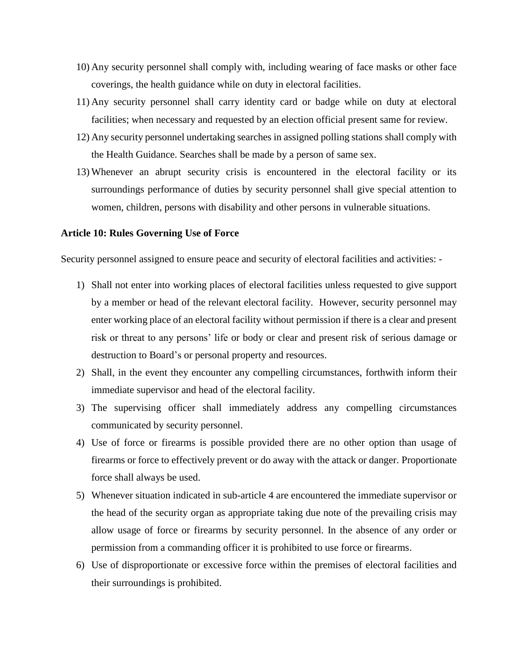- 10) Any security personnel shall comply with, including wearing of face masks or other face coverings, the health guidance while on duty in electoral facilities.
- 11) Any security personnel shall carry identity card or badge while on duty at electoral facilities; when necessary and requested by an election official present same for review.
- 12) Any security personnel undertaking searches in assigned polling stations shall comply with the Health Guidance. Searches shall be made by a person of same sex.
- 13) Whenever an abrupt security crisis is encountered in the electoral facility or its surroundings performance of duties by security personnel shall give special attention to women, children, persons with disability and other persons in vulnerable situations.

#### **Article 10: Rules Governing Use of Force**

Security personnel assigned to ensure peace and security of electoral facilities and activities: -

- 1) Shall not enter into working places of electoral facilities unless requested to give support by a member or head of the relevant electoral facility. However, security personnel may enter working place of an electoral facility without permission if there is a clear and present risk or threat to any persons' life or body or clear and present risk of serious damage or destruction to Board's or personal property and resources.
- 2) Shall, in the event they encounter any compelling circumstances, forthwith inform their immediate supervisor and head of the electoral facility.
- 3) The supervising officer shall immediately address any compelling circumstances communicated by security personnel.
- 4) Use of force or firearms is possible provided there are no other option than usage of firearms or force to effectively prevent or do away with the attack or danger. Proportionate force shall always be used.
- 5) Whenever situation indicated in sub-article 4 are encountered the immediate supervisor or the head of the security organ as appropriate taking due note of the prevailing crisis may allow usage of force or firearms by security personnel. In the absence of any order or permission from a commanding officer it is prohibited to use force or firearms.
- 6) Use of disproportionate or excessive force within the premises of electoral facilities and their surroundings is prohibited.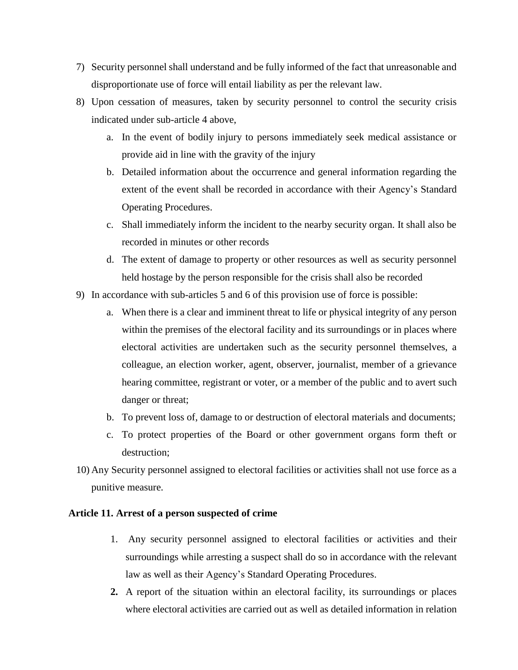- 7) Security personnel shall understand and be fully informed of the fact that unreasonable and disproportionate use of force will entail liability as per the relevant law.
- 8) Upon cessation of measures, taken by security personnel to control the security crisis indicated under sub-article 4 above,
	- a. In the event of bodily injury to persons immediately seek medical assistance or provide aid in line with the gravity of the injury
	- b. Detailed information about the occurrence and general information regarding the extent of the event shall be recorded in accordance with their Agency's Standard Operating Procedures.
	- c. Shall immediately inform the incident to the nearby security organ. It shall also be recorded in minutes or other records
	- d. The extent of damage to property or other resources as well as security personnel held hostage by the person responsible for the crisis shall also be recorded
- 9) In accordance with sub-articles 5 and 6 of this provision use of force is possible:
	- a. When there is a clear and imminent threat to life or physical integrity of any person within the premises of the electoral facility and its surroundings or in places where electoral activities are undertaken such as the security personnel themselves, a colleague, an election worker, agent, observer, journalist, member of a grievance hearing committee, registrant or voter, or a member of the public and to avert such danger or threat;
	- b. To prevent loss of, damage to or destruction of electoral materials and documents;
	- c. To protect properties of the Board or other government organs form theft or destruction;
- 10) Any Security personnel assigned to electoral facilities or activities shall not use force as a punitive measure.

## **Article 11. Arrest of a person suspected of crime**

- 1. Any security personnel assigned to electoral facilities or activities and their surroundings while arresting a suspect shall do so in accordance with the relevant law as well as their Agency's Standard Operating Procedures.
- **2.** A report of the situation within an electoral facility, its surroundings or places where electoral activities are carried out as well as detailed information in relation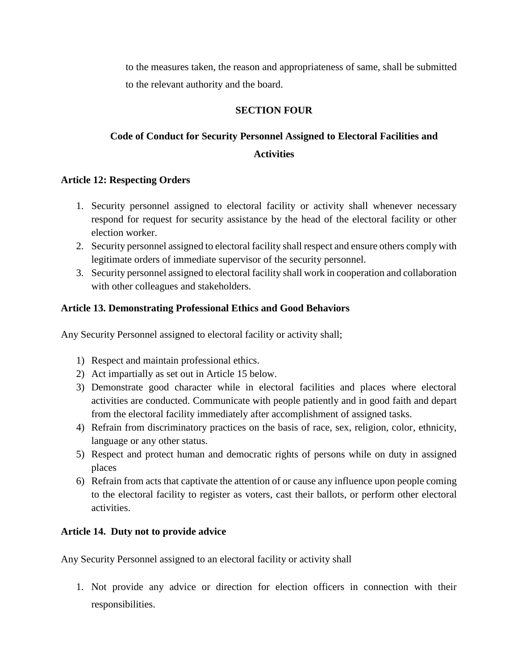to the measures taken, the reason and appropriateness of same, shall be submitted to the relevant authority and the board.

## **SECTION FOUR**

## **Code of Conduct for Security Personnel Assigned to Electoral Facilities and Activities**

## **Article 12: Respecting Orders**

- 1. Security personnel assigned to electoral facility or activity shall whenever necessary respond for request for security assistance by the head of the electoral facility or other election worker.
- 2. Security personnel assigned to electoral facility shall respect and ensure others comply with legitimate orders of immediate supervisor of the security personnel.
- 3. Security personnel assigned to electoral facility shall work in cooperation and collaboration with other colleagues and stakeholders.

## **Article 13. Demonstrating Professional Ethics and Good Behaviors**

Any Security Personnel assigned to electoral facility or activity shall;

- 1) Respect and maintain professional ethics.
- 2) Act impartially as set out in Article 15 below.
- 3) Demonstrate good character while in electoral facilities and places where electoral activities are conducted. Communicate with people patiently and in good faith and depart from the electoral facility immediately after accomplishment of assigned tasks.
- 4) Refrain from discriminatory practices on the basis of race, sex, religion, color, ethnicity, language or any other status.
- 5) Respect and protect human and democratic rights of persons while on duty in assigned places
- 6) Refrain from acts that captivate the attention of or cause any influence upon people coming to the electoral facility to register as voters, cast their ballots, or perform other electoral activities.

## **Article 14. Duty not to provide advice**

Any Security Personnel assigned to an electoral facility or activity shall

1. Not provide any advice or direction for election officers in connection with their responsibilities.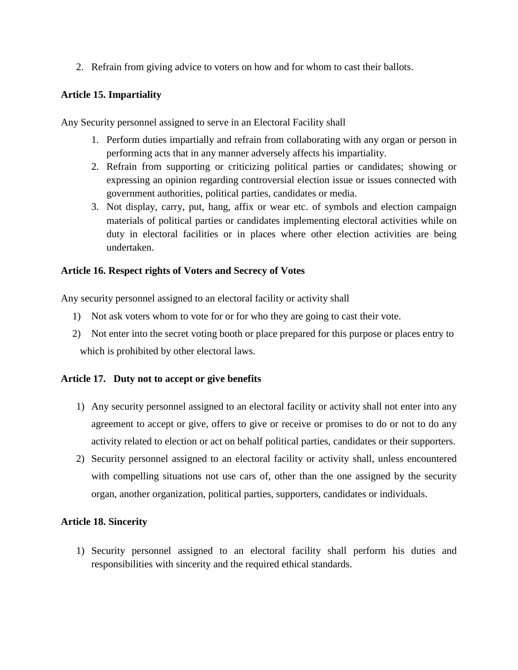2. Refrain from giving advice to voters on how and for whom to cast their ballots.

## **Article 15. Impartiality**

Any Security personnel assigned to serve in an Electoral Facility shall

- 1. Perform duties impartially and refrain from collaborating with any organ or person in performing acts that in any manner adversely affects his impartiality.
- 2. Refrain from supporting or criticizing political parties or candidates; showing or expressing an opinion regarding controversial election issue or issues connected with government authorities, political parties, candidates or media.
- 3. Not display, carry, put, hang, affix or wear etc. of symbols and election campaign materials of political parties or candidates implementing electoral activities while on duty in electoral facilities or in places where other election activities are being undertaken.

## **Article 16. Respect rights of Voters and Secrecy of Votes**

Any security personnel assigned to an electoral facility or activity shall

- 1) Not ask voters whom to vote for or for who they are going to cast their vote.
- 2) Not enter into the secret voting booth or place prepared for this purpose or places entry to which is prohibited by other electoral laws.

## **Article 17. Duty not to accept or give benefits**

- 1) Any security personnel assigned to an electoral facility or activity shall not enter into any agreement to accept or give, offers to give or receive or promises to do or not to do any activity related to election or act on behalf political parties, candidates or their supporters.
- 2) Security personnel assigned to an electoral facility or activity shall, unless encountered with compelling situations not use cars of, other than the one assigned by the security organ, another organization, political parties, supporters, candidates or individuals.

## **Article 18. Sincerity**

1) Security personnel assigned to an electoral facility shall perform his duties and responsibilities with sincerity and the required ethical standards.